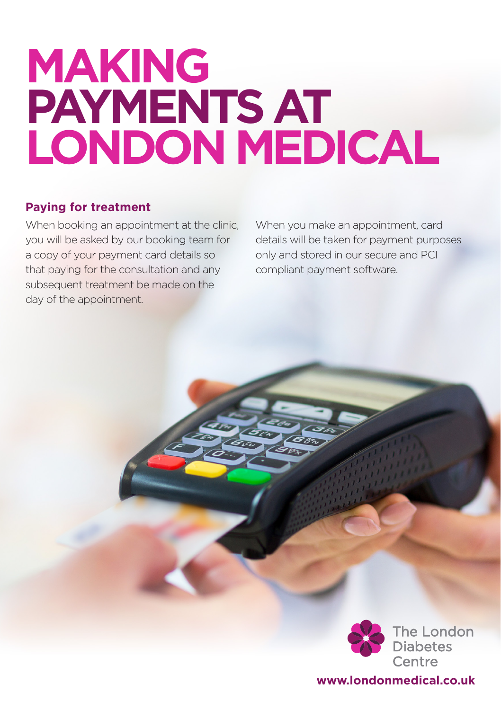# **MAKING PAYMENTS AT LONDON MEDICAL**

#### **Paying for treatment**

When booking an appointment at the clinic, you will be asked by our booking team for a copy of your payment card details so that paying for the consultation and any subsequent treatment be made on the day of the appointment.

When you make an appointment, card details will be taken for payment purposes only and stored in our secure and PCI compliant payment software.